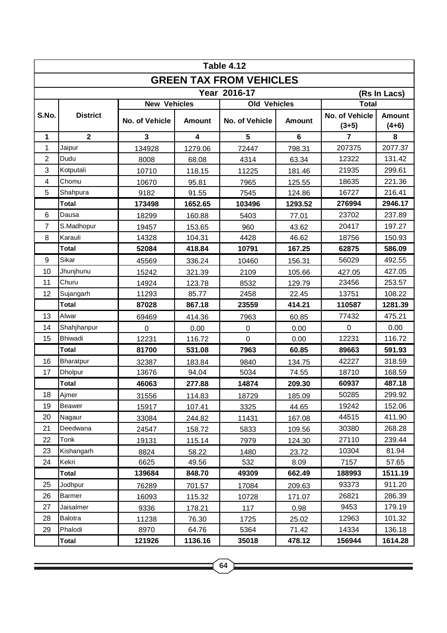| <b>Table 4.12</b>              |                 |                     |                         |                     |               |                           |                          |  |  |  |  |  |
|--------------------------------|-----------------|---------------------|-------------------------|---------------------|---------------|---------------------------|--------------------------|--|--|--|--|--|
| <b>GREEN TAX FROM VEHICLES</b> |                 |                     |                         |                     |               |                           |                          |  |  |  |  |  |
| Year 2016-17<br>(Rs In Lacs)   |                 |                     |                         |                     |               |                           |                          |  |  |  |  |  |
|                                |                 | <b>New Vehicles</b> |                         | <b>Old Vehicles</b> |               | <b>Total</b>              |                          |  |  |  |  |  |
| S.No.                          | <b>District</b> | No. of Vehicle      | <b>Amount</b>           | No. of Vehicle      | <b>Amount</b> | No. of Vehicle<br>$(3+5)$ | <b>Amount</b><br>$(4+6)$ |  |  |  |  |  |
| 1                              | $\overline{2}$  | $\overline{3}$      | $\overline{\mathbf{4}}$ | 5                   | 6             | $\overline{7}$            | 8                        |  |  |  |  |  |
| 1                              | Jaipur          | 134928              | 1279.06                 | 72447               | 798.31        | 207375                    | 2077.37                  |  |  |  |  |  |
| $\overline{2}$                 | Dudu            | 8008                | 68.08                   | 4314                | 63.34         | 12322                     | 131.42                   |  |  |  |  |  |
| 3                              | Kotputali       | 10710               | 118.15                  | 11225               | 181.46        | 21935                     | 299.61                   |  |  |  |  |  |
| 4                              | Chomu           | 10670               | 95.81                   | 7965                | 125.55        | 18635                     | 221.36                   |  |  |  |  |  |
| 5                              | Shahpura        | 9182                | 91.55                   | 7545                | 124.86        | 16727                     | 216.41                   |  |  |  |  |  |
|                                | <b>Total</b>    | 173498              | 1652.65                 | 103496              | 1293.52       | 276994                    | 2946.17                  |  |  |  |  |  |
| 6                              | Dausa           | 18299               | 160.88                  | 5403                | 77.01         | 23702                     | 237.89                   |  |  |  |  |  |
| $\overline{7}$                 | S.Madhopur      | 19457               | 153.65                  | 960                 | 43.62         | 20417                     | 197.27                   |  |  |  |  |  |
| 8                              | Karauli         | 14328               | 104.31                  | 4428                | 46.62         | 18756                     | 150.93                   |  |  |  |  |  |
|                                | <b>Total</b>    | 52084               | 418.84                  | 10791               | 167.25        | 62875                     | 586.09                   |  |  |  |  |  |
| 9                              | Sikar           | 45569               | 336.24                  | 10460               | 156.31        | 56029                     | 492.55                   |  |  |  |  |  |
| 10                             | Jhunjhunu       | 15242               | 321.39                  | 2109                | 105.66        | 427.05                    | 427.05                   |  |  |  |  |  |
| 11                             | Churu           | 14924               | 123.78                  | 8532                | 129.79        | 23456                     | 253.57                   |  |  |  |  |  |
| 12                             | Sujangarh       | 11293               | 85.77                   | 2458                | 22.45         | 13751                     | 108.22                   |  |  |  |  |  |
|                                | <b>Total</b>    | 87028               | 867.18                  | 23559               | 414.21        | 110587                    | 1281.39                  |  |  |  |  |  |
| 13                             | Alwar           | 69469               | 414.36                  | 7963                | 60.85         | 77432                     | 475.21                   |  |  |  |  |  |
| 14                             | Shahjhanpur     | 0                   | 0.00                    | 0                   | 0.00          | $\Omega$                  | 0.00                     |  |  |  |  |  |
| 15                             | <b>Bhiwadi</b>  | 12231               | 116.72                  | $\overline{0}$      | 0.00          | 12231                     | 116.72                   |  |  |  |  |  |
|                                | <b>Total</b>    | 81700               | 531.08                  | 7963                | 60.85         | 89663                     | 591.93                   |  |  |  |  |  |
| 16                             | Bharatpur       | 32387               | 183.84                  | 9840                | 134.75        | 42227                     | 318.59                   |  |  |  |  |  |
| 17                             | <b>Dholpur</b>  | 13676               | 94.04                   | 5034                | 74.55         | 18710                     | 168.59                   |  |  |  |  |  |
|                                | <b>Total</b>    | 46063               | 277.88                  | 14874               | 209.30        | 60937                     | 487.18                   |  |  |  |  |  |
| 18                             | Ajmer           | <u>31556</u>        | 114.83                  | 18729               | 185.09        | 50285                     | 299.92                   |  |  |  |  |  |
| 19                             | <b>Beawer</b>   | 15917               | 107.41                  | 3325                | 44.65         | 19242                     | 152.06                   |  |  |  |  |  |
| 20                             | Nagaur          | 33084               | 244.82                  | 11431               | 167.08        | 44515                     | 411.90                   |  |  |  |  |  |
| 21                             | Deedwana        | 24547               | 158.72                  | 5833                | 109.56        | 30380                     | 268.28                   |  |  |  |  |  |
| 22                             | Tonk            | 19131               | 115.14                  | 7979                | 124.30        | 27110                     | 239.44                   |  |  |  |  |  |
| 23                             | Kishangarh      | 8824                | 58.22                   | 1480                | 23.72         | 10304                     | 81.94                    |  |  |  |  |  |
| 24                             | Kekri           | 6625                | 49.56                   | 532                 | 8.09          | 7157                      | 57.65                    |  |  |  |  |  |
|                                | Total           | 139684              | 848.70                  | 49309               | 662.49        | 188993                    | 1511.19                  |  |  |  |  |  |
| 25                             | Jodhpur         | 76289               | 701.57                  | 17084               | 209.63        | 93373                     | 911.20                   |  |  |  |  |  |
| 26                             | <b>Barmer</b>   | 16093               | 115.32                  | 10728               | 171.07        | 26821                     | 286.39                   |  |  |  |  |  |
| 27                             | Jaisalmer       | 9336                | 178.21                  | 117                 | 0.98          | 9453                      | 179.19                   |  |  |  |  |  |
| 28                             | <b>Balotra</b>  | 11238               | 76.30                   | 1725                | 25.02         | 12963                     | 101.32                   |  |  |  |  |  |
| 29                             | Phalodi         | 8970                | 64.76                   | 5364                | 71.42         | 14334                     | 136.18                   |  |  |  |  |  |
|                                | <b>Total</b>    | 121926              | 1136.16                 | 35018               | 478.12        | 156944                    | 1614.28                  |  |  |  |  |  |

<u> 1989 - Johann Stein, marwolaethau a bhann an t-Amhair an t-Amhair an t-Amhair an t-Amhair an t-Amhair an t-A</u>

<u> 1989 - Johann Stoff, deutscher Stoffen und der Stoffen und der Stoffen und der Stoffen und der Stoffen und der</u>